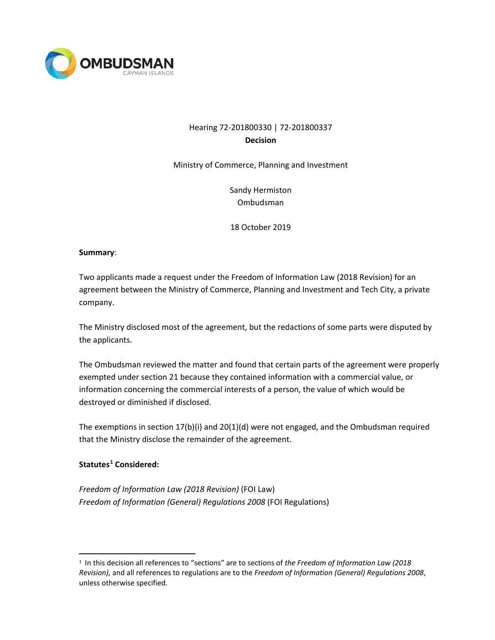

# Hearing 72-201800330 | 72-201800337 **Decision**

Ministry of Commerce, Planning and Investment

Sandy Hermiston Ombudsman

18 October 2019

#### **Summary**:

Two applicants made a request under the Freedom of Information Law (2018 Revision) for an agreement between the Ministry of Commerce, Planning and Investment and Tech City, a private company.

The Ministry disclosed most of the agreement, but the redactions of some parts were disputed by the applicants.

The Ombudsman reviewed the matter and found that certain parts of the agreement were properly exempted under section 21 because they contained information with a commercial value, or information concerning the commercial interests of a person, the value of which would be destroyed or diminished if disclosed.

The exemptions in section 17(b)(i) and 20(1)(d) were not engaged, and the Ombudsman required that the Ministry disclose the remainder of the agreement.

## **Statutes[1](#page-0-0) Considered:**

*Freedom of Information Law (2018 Revision)* (FOI Law) *Freedom of Information (General) Regulations 2008* (FOI Regulations)

<span id="page-0-0"></span> <sup>1</sup> In this decision all references to "sections" are to sections of *the Freedom of Information Law (2018 Revision),* and all references to regulations are to the *Freedom of Information (General) Regulations 2008*, unless otherwise specified.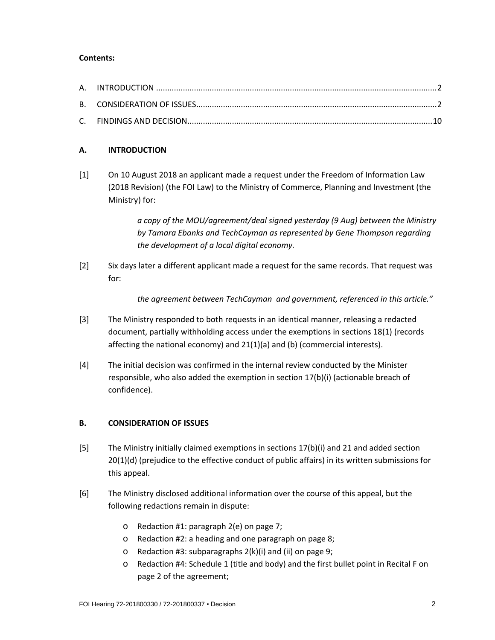### **Contents:**

### **A. INTRODUCTION**

[1] On 10 August 2018 an applicant made a request under the Freedom of Information Law (2018 Revision) (the FOI Law) to the Ministry of Commerce, Planning and Investment (the Ministry) for:

> *a copy of the MOU/agreement/deal signed yesterday (9 Aug) between the Ministry by Tamara Ebanks and TechCayman as represented by Gene Thompson regarding the development of a local digital economy.*

[2] Six days later a different applicant made a request for the same records. That request was for:

*the agreement between TechCayman and government, referenced in this article."*

- [3] The Ministry responded to both requests in an identical manner, releasing a redacted document, partially withholding access under the exemptions in sections 18(1) (records affecting the national economy) and 21(1)(a) and (b) (commercial interests).
- [4] The initial decision was confirmed in the internal review conducted by the Minister responsible, who also added the exemption in section 17(b)(i) (actionable breach of confidence).

#### **B. CONSIDERATION OF ISSUES**

- [5] The Ministry initially claimed exemptions in sections 17(b)(i) and 21 and added section 20(1)(d) (prejudice to the effective conduct of public affairs) in its written submissions for this appeal.
- [6] The Ministry disclosed additional information over the course of this appeal, but the following redactions remain in dispute:
	- o Redaction #1: paragraph 2(e) on page 7;
	- o Redaction #2: a heading and one paragraph on page 8;
	- o Redaction #3: subparagraphs 2(k)(i) and (ii) on page 9;
	- o Redaction #4: Schedule 1 (title and body) and the first bullet point in Recital F on page 2 of the agreement;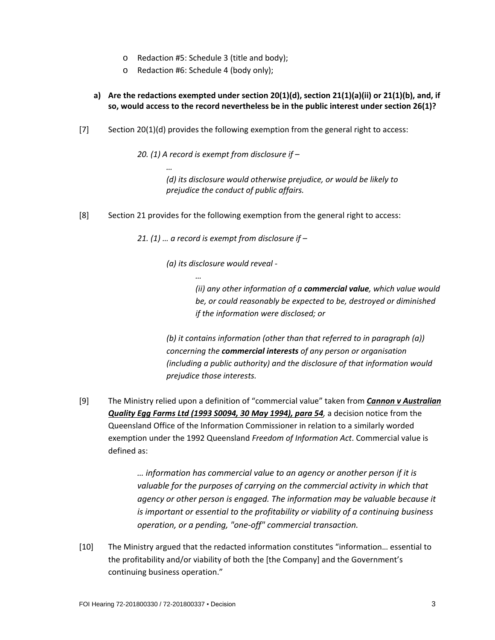- o Redaction #5: Schedule 3 (title and body);
- o Redaction #6: Schedule 4 (body only);

*…*

- **a) Are the redactions exempted under section 20(1)(d), section 21(1)(a)(ii) or 21(1)(b), and, if so, would access to the record nevertheless be in the public interest under section 26(1)?**
- [7] Section 20(1)(d) provides the following exemption from the general right to access:

*20. (1) A record is exempt from disclosure if –*

*(d) its disclosure would otherwise prejudice, or would be likely to prejudice the conduct of public affairs.*

[8] Section 21 provides for the following exemption from the general right to access:

*21. (1) … a record is exempt from disclosure if –*

*(a) its disclosure would reveal -*

*…*

*(ii) any other information of a commercial value, which value would be, or could reasonably be expected to be, destroyed or diminished if the information were disclosed; or* 

*(b) it contains information (other than that referred to in paragraph (a)) concerning the commercial interests of any person or organisation (including a public authority) and the disclosure of that information would prejudice those interests.* 

[9] The Ministry relied upon a definition of "commercial value" taken from *Cannon v Australian Quality Egg Farms Ltd (1993 S0094, 30 May 1994), para 54,* a decision notice from the Queensland Office of the Information Commissioner in relation to a similarly worded exemption under the 1992 Queensland *Freedom of Information Act*. Commercial value is defined as:

> *… information has commercial value to an agency or another person if it is valuable for the purposes of carrying on the commercial activity in which that agency or other person is engaged. The information may be valuable because it is important or essential to the profitability or viability of a continuing business operation, or a pending, "one-off" commercial transaction.*

[10] The Ministry argued that the redacted information constitutes "information… essential to the profitability and/or viability of both the [the Company] and the Government's continuing business operation."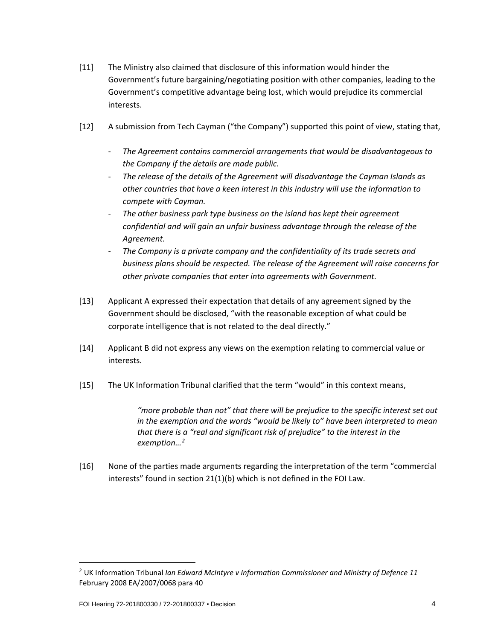- [11] The Ministry also claimed that disclosure of this information would hinder the Government's future bargaining/negotiating position with other companies, leading to the Government's competitive advantage being lost, which would prejudice its commercial interests.
- [12] A submission from Tech Cayman ("the Company") supported this point of view, stating that,
	- *The Agreement contains commercial arrangements that would be disadvantageous to the Company if the details are made public.*
	- *The release of the details of the Agreement will disadvantage the Cayman Islands as other countries that have a keen interest in this industry will use the information to compete with Cayman.*
	- *The other business park type business on the island has kept their agreement confidential and will gain an unfair business advantage through the release of the Agreement.*
	- *The Company is a private company and the confidentiality of its trade secrets and business plans should be respected. The release of the Agreement will raise concerns for other private companies that enter into agreements with Government.*
- [13] Applicant A expressed their expectation that details of any agreement signed by the Government should be disclosed, "with the reasonable exception of what could be corporate intelligence that is not related to the deal directly."
- [14] Applicant B did not express any views on the exemption relating to commercial value or interests.
- [15] The UK Information Tribunal clarified that the term "would" in this context means,

*"more probable than not" that there will be prejudice to the specific interest set out in the exemption and the words "would be likely to" have been interpreted to mean that there is a "real and significant risk of prejudice" to the interest in the exemption…[2](#page-3-0)*

[16] None of the parties made arguments regarding the interpretation of the term "commercial interests" found in section 21(1)(b) which is not defined in the FOI Law.

<span id="page-3-0"></span> <sup>2</sup> UK Information Tribunal *Ian Edward McIntyre v Information Commissioner and Ministry of Defence 11* February 2008 EA/2007/0068 para 40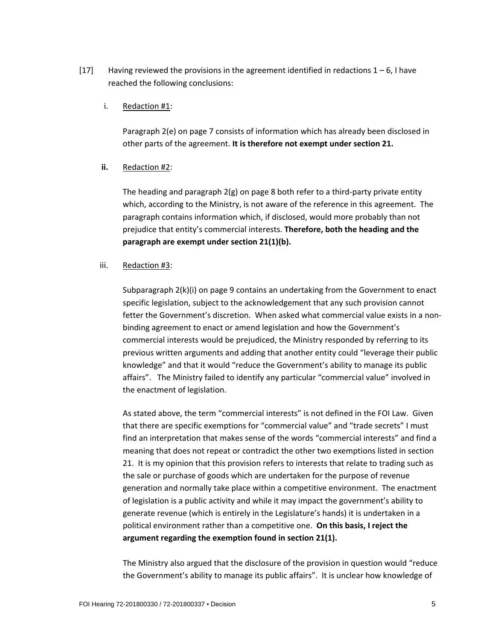[17] Having reviewed the provisions in the agreement identified in redactions  $1 - 6$ , I have reached the following conclusions:

#### i. Redaction #1:

Paragraph 2(e) on page 7 consists of information which has already been disclosed in other parts of the agreement. **It is therefore not exempt under section 21.**

### **ii.** Redaction #2:

The heading and paragraph 2(g) on page 8 both refer to a third-party private entity which, according to the Ministry, is not aware of the reference in this agreement. The paragraph contains information which, if disclosed, would more probably than not prejudice that entity's commercial interests. **Therefore, both the heading and the paragraph are exempt under section 21(1)(b).**

#### iii. Redaction #3:

Subparagraph 2(k)(i) on page 9 contains an undertaking from the Government to enact specific legislation, subject to the acknowledgement that any such provision cannot fetter the Government's discretion. When asked what commercial value exists in a nonbinding agreement to enact or amend legislation and how the Government's commercial interests would be prejudiced, the Ministry responded by referring to its previous written arguments and adding that another entity could "leverage their public knowledge" and that it would "reduce the Government's ability to manage its public affairs". The Ministry failed to identify any particular "commercial value" involved in the enactment of legislation.

As stated above, the term "commercial interests" is not defined in the FOI Law. Given that there are specific exemptions for "commercial value" and "trade secrets" I must find an interpretation that makes sense of the words "commercial interests" and find a meaning that does not repeat or contradict the other two exemptions listed in section 21. It is my opinion that this provision refers to interests that relate to trading such as the sale or purchase of goods which are undertaken for the purpose of revenue generation and normally take place within a competitive environment. The enactment of legislation is a public activity and while it may impact the government's ability to generate revenue (which is entirely in the Legislature's hands) it is undertaken in a political environment rather than a competitive one. **On this basis, I reject the argument regarding the exemption found in section 21(1).** 

The Ministry also argued that the disclosure of the provision in question would "reduce the Government's ability to manage its public affairs". It is unclear how knowledge of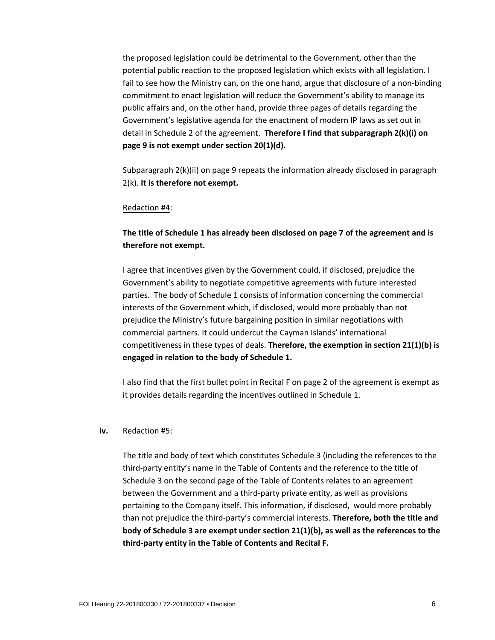the proposed legislation could be detrimental to the Government, other than the potential public reaction to the proposed legislation which exists with all legislation. I fail to see how the Ministry can, on the one hand, argue that disclosure of a non-binding commitment to enact legislation will reduce the Government's ability to manage its public affairs and, on the other hand, provide three pages of details regarding the Government's legislative agenda for the enactment of modern IP laws as set out in detail in Schedule 2 of the agreement. **Therefore I find that subparagraph 2(k)(i) on page 9 is not exempt under section 20(1)(d).** 

Subparagraph 2(k)(ii) on page 9 repeats the information already disclosed in paragraph 2(k). **It is therefore not exempt.**

#### Redaction #4:

## **The title of Schedule 1 has already been disclosed on page 7 of the agreement and is therefore not exempt.**

I agree that incentives given by the Government could, if disclosed, prejudice the Government's ability to negotiate competitive agreements with future interested parties. The body of Schedule 1 consists of information concerning the commercial interests of the Government which, if disclosed, would more probably than not prejudice the Ministry's future bargaining position in similar negotiations with commercial partners. It could undercut the Cayman Islands' international competitiveness in these types of deals. **Therefore, the exemption in section 21(1)(b) is engaged in relation to the body of Schedule 1.** 

I also find that the first bullet point in Recital F on page 2 of the agreement is exempt as it provides details regarding the incentives outlined in Schedule 1.

#### **iv.** Redaction #5:

The title and body of text which constitutes Schedule 3 (including the references to the third-party entity's name in the Table of Contents and the reference to the title of Schedule 3 on the second page of the Table of Contents relates to an agreement between the Government and a third-party private entity, as well as provisions pertaining to the Company itself. This information, if disclosed, would more probably than not prejudice the third-party's commercial interests. **Therefore, both the title and body of Schedule 3 are exempt under section 21(1)(b), as well as the references to the third-party entity in the Table of Contents and Recital F.**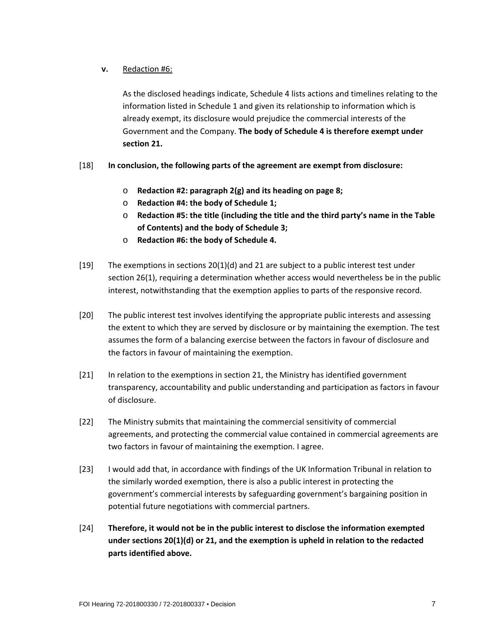### **v.** Redaction #6:

As the disclosed headings indicate, Schedule 4 lists actions and timelines relating to the information listed in Schedule 1 and given its relationship to information which is already exempt, its disclosure would prejudice the commercial interests of the Government and the Company. **The body of Schedule 4 is therefore exempt under section 21.** 

### [18] **In conclusion, the following parts of the agreement are exempt from disclosure:**

- o **Redaction #2: paragraph 2(g) and its heading on page 8;**
- o **Redaction #4: the body of Schedule 1;**
- o **Redaction #5: the title (including the title and the third party's name in the Table of Contents) and the body of Schedule 3;**
- o **Redaction #6: the body of Schedule 4.**
- [19] The exemptions in sections 20(1)(d) and 21 are subject to a public interest test under section 26(1), requiring a determination whether access would nevertheless be in the public interest, notwithstanding that the exemption applies to parts of the responsive record.
- [20] The public interest test involves identifying the appropriate public interests and assessing the extent to which they are served by disclosure or by maintaining the exemption. The test assumes the form of a balancing exercise between the factors in favour of disclosure and the factors in favour of maintaining the exemption.
- [21] In relation to the exemptions in section 21, the Ministry has identified government transparency, accountability and public understanding and participation as factors in favour of disclosure.
- [22] The Ministry submits that maintaining the commercial sensitivity of commercial agreements, and protecting the commercial value contained in commercial agreements are two factors in favour of maintaining the exemption. I agree.
- [23] I would add that, in accordance with findings of the UK Information Tribunal in relation to the similarly worded exemption, there is also a public interest in protecting the government's commercial interests by safeguarding government's bargaining position in potential future negotiations with commercial partners.
- [24] **Therefore, it would not be in the public interest to disclose the information exempted under sections 20(1)(d) or 21, and the exemption is upheld in relation to the redacted parts identified above.**